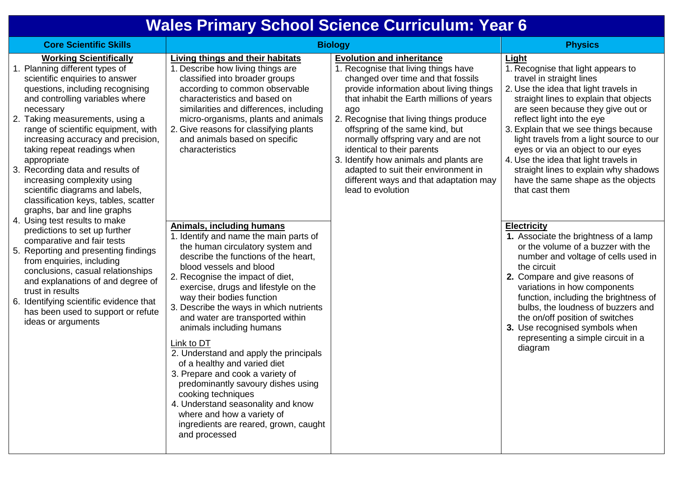## **Wales Primary School Science Curriculum: Year 6**

| <b>Core Scientific Skills</b>                                                                                                                                                                                                                                                                                                                                                                                                                                                                                                                                                                                                                                                                                                                                                                                                                                                                              | <b>Biology</b>                                                                                                                                                                                                                                                                                                                                                                                                                                                                                                                                                                                                                                                                                                                                                                                                                                                                                                                                                                                                                                                                           |                                                                                                                                                                                                                                                                                                                                                                                                                                                                                                                  | <b>Physics</b>                                                                                                                                                                                                                                                                                                                                                                                                                                                                                                                                                                                                                                                                                                                                                                                                                                                                                                                      |
|------------------------------------------------------------------------------------------------------------------------------------------------------------------------------------------------------------------------------------------------------------------------------------------------------------------------------------------------------------------------------------------------------------------------------------------------------------------------------------------------------------------------------------------------------------------------------------------------------------------------------------------------------------------------------------------------------------------------------------------------------------------------------------------------------------------------------------------------------------------------------------------------------------|------------------------------------------------------------------------------------------------------------------------------------------------------------------------------------------------------------------------------------------------------------------------------------------------------------------------------------------------------------------------------------------------------------------------------------------------------------------------------------------------------------------------------------------------------------------------------------------------------------------------------------------------------------------------------------------------------------------------------------------------------------------------------------------------------------------------------------------------------------------------------------------------------------------------------------------------------------------------------------------------------------------------------------------------------------------------------------------|------------------------------------------------------------------------------------------------------------------------------------------------------------------------------------------------------------------------------------------------------------------------------------------------------------------------------------------------------------------------------------------------------------------------------------------------------------------------------------------------------------------|-------------------------------------------------------------------------------------------------------------------------------------------------------------------------------------------------------------------------------------------------------------------------------------------------------------------------------------------------------------------------------------------------------------------------------------------------------------------------------------------------------------------------------------------------------------------------------------------------------------------------------------------------------------------------------------------------------------------------------------------------------------------------------------------------------------------------------------------------------------------------------------------------------------------------------------|
| <b>Working Scientifically</b><br>1. Planning different types of<br>scientific enquiries to answer<br>questions, including recognising<br>and controlling variables where<br>necessary<br>2. Taking measurements, using a<br>range of scientific equipment, with<br>increasing accuracy and precision,<br>taking repeat readings when<br>appropriate<br>3. Recording data and results of<br>increasing complexity using<br>scientific diagrams and labels,<br>classification keys, tables, scatter<br>graphs, bar and line graphs<br>4. Using test results to make<br>predictions to set up further<br>comparative and fair tests<br>5. Reporting and presenting findings<br>from enquiries, including<br>conclusions, casual relationships<br>and explanations of and degree of<br>trust in results<br>6. Identifying scientific evidence that<br>has been used to support or refute<br>ideas or arguments | Living things and their habitats<br>1. Describe how living things are<br>classified into broader groups<br>according to common observable<br>characteristics and based on<br>similarities and differences, including<br>micro-organisms, plants and animals<br>2. Give reasons for classifying plants<br>and animals based on specific<br>characteristics<br><b>Animals, including humans</b><br>1. Identify and name the main parts of<br>the human circulatory system and<br>describe the functions of the heart,<br>blood vessels and blood<br>2. Recognise the impact of diet,<br>exercise, drugs and lifestyle on the<br>way their bodies function<br>3. Describe the ways in which nutrients<br>and water are transported within<br>animals including humans<br>Link to DT<br>2. Understand and apply the principals<br>of a healthy and varied diet<br>3. Prepare and cook a variety of<br>predominantly savoury dishes using<br>cooking techniques<br>4. Understand seasonality and know<br>where and how a variety of<br>ingredients are reared, grown, caught<br>and processed | <b>Evolution and inheritance</b><br>1. Recognise that living things have<br>changed over time and that fossils<br>provide information about living things<br>that inhabit the Earth millions of years<br>ago<br>2. Recognise that living things produce<br>offspring of the same kind, but<br>normally offspring vary and are not<br>identical to their parents<br>3. Identify how animals and plants are<br>adapted to suit their environment in<br>different ways and that adaptation may<br>lead to evolution | Light<br>1. Recognise that light appears to<br>travel in straight lines<br>2. Use the idea that light travels in<br>straight lines to explain that objects<br>are seen because they give out or<br>reflect light into the eye<br>3. Explain that we see things because<br>light travels from a light source to our<br>eyes or via an object to our eyes<br>4. Use the idea that light travels in<br>straight lines to explain why shadows<br>have the same shape as the objects<br>that cast them<br><b>Electricity</b><br>1. Associate the brightness of a lamp<br>or the volume of a buzzer with the<br>number and voltage of cells used in<br>the circuit<br>2. Compare and give reasons of<br>variations in how components<br>function, including the brightness of<br>bulbs, the loudness of buzzers and<br>the on/off position of switches<br>3. Use recognised symbols when<br>representing a simple circuit in a<br>diagram |